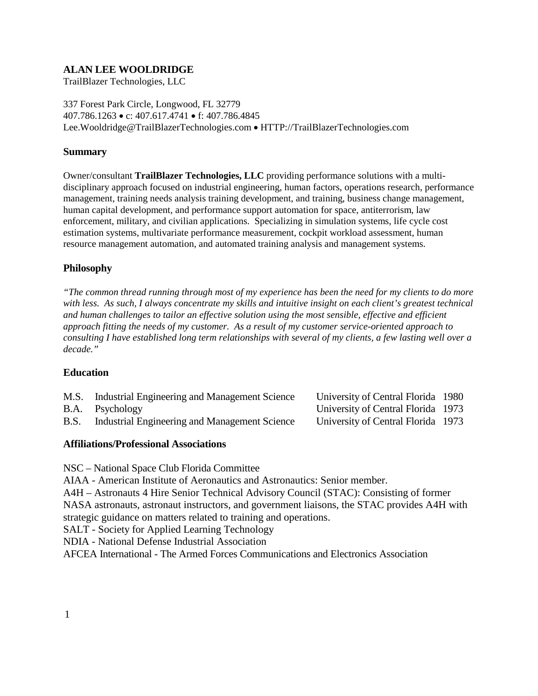# **ALAN LEE WOOLDRIDGE**

TrailBlazer Technologies, LLC

337 Forest Park Circle, Longwood, FL 32779 407.786.1263 • c: 407.617.4741 • f: 407.786.4845 Lee.Wooldridge@TrailBlazerTechnologies.com • HTTP://TrailBlazerTechnologies.com

### **Summary**

Owner/consultant **TrailBlazer Technologies, LLC** providing performance solutions with a multidisciplinary approach focused on industrial engineering, human factors, operations research, performance management, training needs analysis training development, and training, business change management, human capital development, and performance support automation for space, antiterrorism, law enforcement, military, and civilian applications. Specializing in simulation systems, life cycle cost estimation systems, multivariate performance measurement, cockpit workload assessment, human resource management automation, and automated training analysis and management systems.

## **Philosophy**

*"The common thread running through most of my experience has been the need for my clients to do more with less. As such, I always concentrate my skills and intuitive insight on each client's greatest technical and human challenges to tailor an effective solution using the most sensible, effective and efficient approach fitting the needs of my customer. As a result of my customer service-oriented approach to consulting I have established long term relationships with several of my clients, a few lasting well over a decade."*

## **Education**

| M.S. | Industrial Engineering and Management Science | University of Central Florida 1980 |  |
|------|-----------------------------------------------|------------------------------------|--|
|      | B.A. Psychology                               | University of Central Florida 1973 |  |
| B.S. | Industrial Engineering and Management Science | University of Central Florida 1973 |  |

#### **Affiliations/Professional Associations**

NSC – National Space Club Florida Committee

AIAA - American Institute of Aeronautics and Astronautics: Senior member.

A4H – Astronauts 4 Hire Senior Technical Advisory Council (STAC): Consisting of former NASA astronauts, astronaut instructors, and government liaisons, the STAC provides A4H with

strategic guidance on matters related to training and operations.

SALT - Society for Applied Learning Technology

NDIA - National Defense Industrial Association

AFCEA International - The Armed Forces Communications and Electronics Association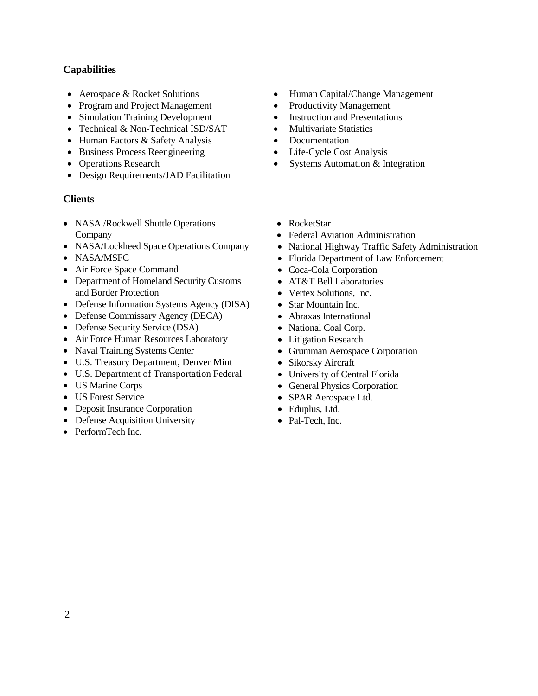# **Capabilities**

- Aerospace & Rocket Solutions
- Program and Project Management
- Simulation Training Development Instruction and Presentations
- Technical & Non-Technical ISD/SAT Multivariate Statistics
- Human Factors & Safety Analysis Documentation
- Business Process Reengineering Life-Cycle Cost Analysis
- Operations Research
- Design Requirements/JAD Facilitation

## **Clients**

- NASA / Rockwell Shuttle Operations Company
- NASA/Lockheed Space Operations Company
- NASA/MSFC
- Air Force Space Command
- Department of Homeland Security Customs and Border Protection
- Defense Information Systems Agency (DISA)
- Defense Commissary Agency (DECA)
- Defense Security Service (DSA)
- Air Force Human Resources Laboratory
- Naval Training Systems Center
- U.S. Treasury Department, Denver Mint
- U.S. Department of Transportation Federal
- US Marine Corps
- US Forest Service
- Deposit Insurance Corporation
- Defense Acquisition University
- PerformTech Inc.
- Human Capital/Change Management
- Productivity Management
- 
- 
- 
- 
- Systems Automation & Integration
- RocketStar
- Federal Aviation Administration
- National Highway Traffic Safety Administration
- Florida Department of Law Enforcement
- Coca-Cola Corporation
- AT&T Bell Laboratories
- Vertex Solutions, Inc.
- Star Mountain Inc.
- Abraxas International
- National Coal Corp.
- Litigation Research
- Grumman Aerospace Corporation
- Sikorsky Aircraft
- University of Central Florida
- General Physics Corporation
- SPAR Aerospace Ltd.
- Eduplus, Ltd.
- Pal-Tech, Inc.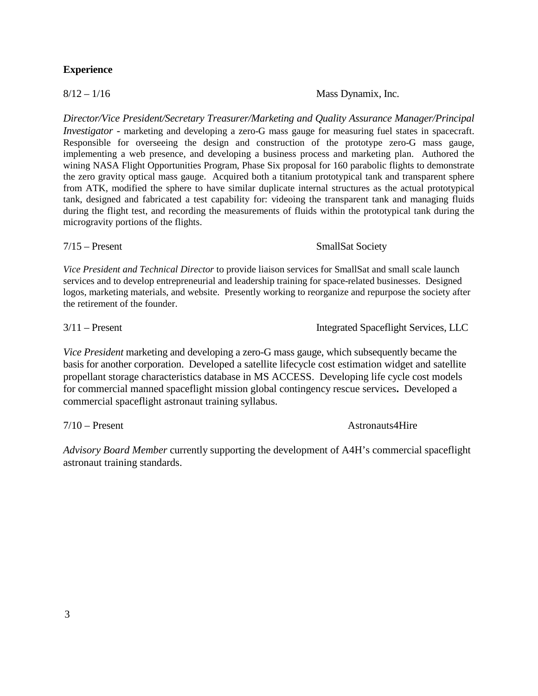#### **Experience**

*Director/Vice President/Secretary Treasurer/Marketing and Quality Assurance Manager/Principal Investigator* - marketing and developing a zero-G mass gauge for measuring fuel states in spacecraft. Responsible for overseeing the design and construction of the prototype zero-G mass gauge, implementing a web presence, and developing a business process and marketing plan. Authored the wining NASA Flight Opportunities Program, Phase Six proposal for 160 parabolic flights to demonstrate the zero gravity optical mass gauge. Acquired both a titanium prototypical tank and transparent sphere from ATK, modified the sphere to have similar duplicate internal structures as the actual prototypical tank, designed and fabricated a test capability for: videoing the transparent tank and managing fluids during the flight test, and recording the measurements of fluids within the prototypical tank during the microgravity portions of the flights.

*Vice President and Technical Director* to provide liaison services for SmallSat and small scale launch services and to develop entrepreneurial and leadership training for space-related businesses. Designed logos, marketing materials, and website. Presently working to reorganize and repurpose the society after the retirement of the founder.

*Vice President* marketing and developing a zero-G mass gauge, which subsequently became the basis for another corporation. Developed a satellite lifecycle cost estimation widget and satellite propellant storage characteristics database in MS ACCESS. Developing life cycle cost models for commercial manned spaceflight mission global contingency rescue services**.** Developed a commercial spaceflight astronaut training syllabus.

*Advisory Board Member* currently supporting the development of A4H's commercial spaceflight astronaut training standards.

7/10 – Present Astronauts4Hire

3/11 – Present Integrated Spaceflight Services, LLC

 $8/12 - 1/16$  Mass Dynamix, Inc.

7/15 – Present SmallSat Society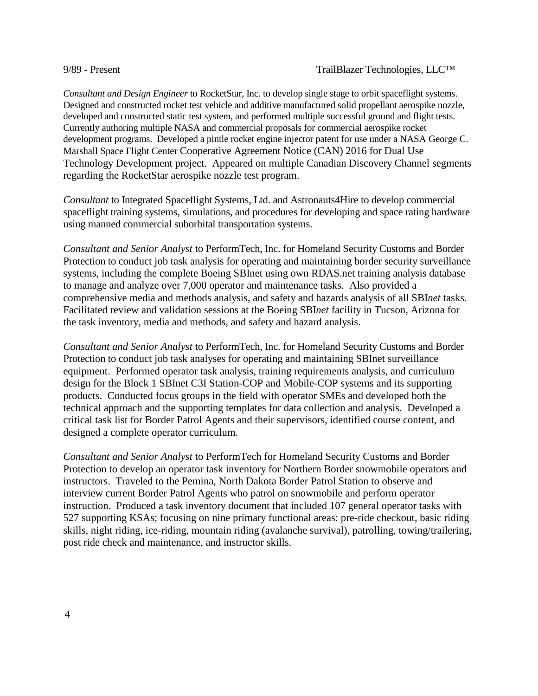*Consultant and Design Engineer* to RocketStar, Inc. to develop single stage to orbit spaceflight systems. Designed and constructed rocket test vehicle and additive manufactured solid propellant aerospike nozzle, developed and constructed static test system, and performed multiple successful ground and flight tests. Currently authoring multiple NASA and commercial proposals for commercial aerospike rocket development programs. Developed a pintle rocket engine injector patent for use under a NASA George C. Marshall Space Flight Center Cooperative Agreement Notice (CAN) 2016 for Dual Use Technology Development project. Appeared on multiple Canadian Discovery Channel segments regarding the RocketStar aerospike nozzle test program.

*Consultant* to Integrated Spaceflight Systems, Ltd. and Astronauts4Hire to develop commercial spaceflight training systems, simulations, and procedures for developing and space rating hardware using manned commercial suborbital transportation systems.

*Consultant and Senior Analyst* to PerformTech, Inc. for Homeland Security Customs and Border Protection to conduct job task analysis for operating and maintaining border security surveillance systems, including the complete Boeing SBInet using own RDAS.net training analysis database to manage and analyze over 7,000 operator and maintenance tasks. Also provided a comprehensive media and methods analysis, and safety and hazards analysis of all SBI*net* tasks. Facilitated review and validation sessions at the Boeing SBI*net* facility in Tucson, Arizona for the task inventory, media and methods, and safety and hazard analysis.

*Consultant and Senior Analyst* to PerformTech, Inc. for Homeland Security Customs and Border Protection to conduct job task analyses for operating and maintaining SBInet surveillance equipment. Performed operator task analysis, training requirements analysis, and curriculum design for the Block 1 SBInet C3I Station-COP and Mobile-COP systems and its supporting products. Conducted focus groups in the field with operator SMEs and developed both the technical approach and the supporting templates for data collection and analysis. Developed a critical task list for Border Patrol Agents and their supervisors, identified course content, and designed a complete operator curriculum.

*Consultant and Senior Analyst* to PerformTech for Homeland Security Customs and Border Protection to develop an operator task inventory for Northern Border snowmobile operators and instructors. Traveled to the Pemina, North Dakota Border Patrol Station to observe and interview current Border Patrol Agents who patrol on snowmobile and perform operator instruction. Produced a task inventory document that included 107 general operator tasks with 527 supporting KSAs; focusing on nine primary functional areas: pre-ride checkout, basic riding skills, night riding, ice-riding, mountain riding (avalanche survival), patrolling, towing/trailering, post ride check and maintenance, and instructor skills.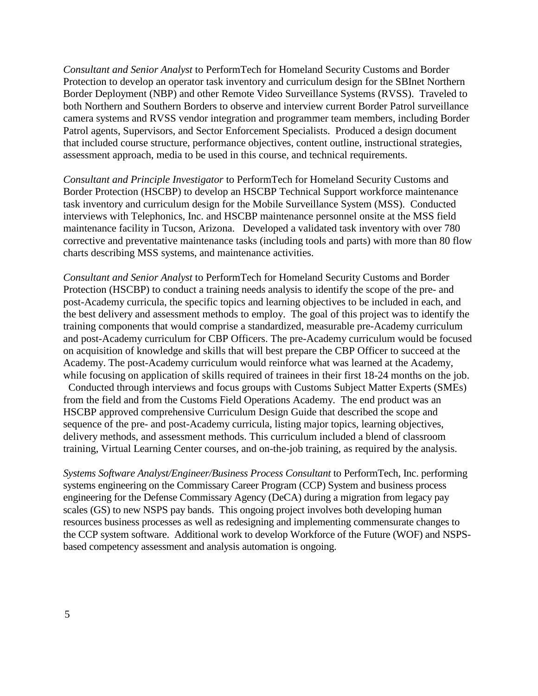*Consultant and Senior Analyst* to PerformTech for Homeland Security Customs and Border Protection to develop an operator task inventory and curriculum design for the SBInet Northern Border Deployment (NBP) and other Remote Video Surveillance Systems (RVSS). Traveled to both Northern and Southern Borders to observe and interview current Border Patrol surveillance camera systems and RVSS vendor integration and programmer team members, including Border Patrol agents, Supervisors, and Sector Enforcement Specialists. Produced a design document that included course structure, performance objectives, content outline, instructional strategies, assessment approach, media to be used in this course, and technical requirements.

*Consultant and Principle Investigator* to PerformTech for Homeland Security Customs and Border Protection (HSCBP) to develop an HSCBP Technical Support workforce maintenance task inventory and curriculum design for the Mobile Surveillance System (MSS). Conducted interviews with Telephonics, Inc. and HSCBP maintenance personnel onsite at the MSS field maintenance facility in Tucson, Arizona. Developed a validated task inventory with over 780 corrective and preventative maintenance tasks (including tools and parts) with more than 80 flow charts describing MSS systems, and maintenance activities.

*Consultant and Senior Analyst* to PerformTech for Homeland Security Customs and Border Protection (HSCBP) to conduct a training needs analysis to identify the scope of the pre- and post-Academy curricula, the specific topics and learning objectives to be included in each, and the best delivery and assessment methods to employ. The goal of this project was to identify the training components that would comprise a standardized, measurable pre-Academy curriculum and post-Academy curriculum for CBP Officers. The pre-Academy curriculum would be focused on acquisition of knowledge and skills that will best prepare the CBP Officer to succeed at the Academy. The post-Academy curriculum would reinforce what was learned at the Academy, while focusing on application of skills required of trainees in their first 18-24 months on the job. Conducted through interviews and focus groups with Customs Subject Matter Experts (SMEs) from the field and from the Customs Field Operations Academy. The end product was an HSCBP approved comprehensive Curriculum Design Guide that described the scope and sequence of the pre- and post-Academy curricula, listing major topics, learning objectives, delivery methods, and assessment methods. This curriculum included a blend of classroom

*Systems Software Analyst/Engineer/Business Process Consultant* to PerformTech, Inc. performing systems engineering on the Commissary Career Program (CCP) System and business process engineering for the Defense Commissary Agency (DeCA) during a migration from legacy pay scales (GS) to new NSPS pay bands. This ongoing project involves both developing human resources business processes as well as redesigning and implementing commensurate changes to the CCP system software. Additional work to develop Workforce of the Future (WOF) and NSPSbased competency assessment and analysis automation is ongoing.

training, Virtual Learning Center courses, and on-the-job training, as required by the analysis.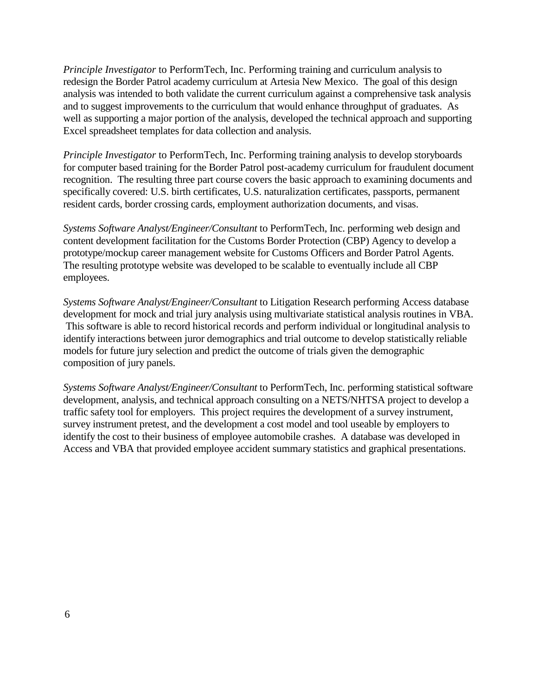*Principle Investigator* to PerformTech, Inc. Performing training and curriculum analysis to redesign the Border Patrol academy curriculum at Artesia New Mexico. The goal of this design analysis was intended to both validate the current curriculum against a comprehensive task analysis and to suggest improvements to the curriculum that would enhance throughput of graduates. As well as supporting a major portion of the analysis, developed the technical approach and supporting Excel spreadsheet templates for data collection and analysis.

*Principle Investigator* to PerformTech, Inc. Performing training analysis to develop storyboards for computer based training for the Border Patrol post-academy curriculum for fraudulent document recognition. The resulting three part course covers the basic approach to examining documents and specifically covered: U.S. birth certificates, U.S. naturalization certificates, passports, permanent resident cards, border crossing cards, employment authorization documents, and visas.

*Systems Software Analyst/Engineer/Consultant* to PerformTech, Inc. performing web design and content development facilitation for the Customs Border Protection (CBP) Agency to develop a prototype/mockup career management website for Customs Officers and Border Patrol Agents. The resulting prototype website was developed to be scalable to eventually include all CBP employees.

*Systems Software Analyst/Engineer/Consultant* to Litigation Research performing Access database development for mock and trial jury analysis using multivariate statistical analysis routines in VBA. This software is able to record historical records and perform individual or longitudinal analysis to identify interactions between juror demographics and trial outcome to develop statistically reliable models for future jury selection and predict the outcome of trials given the demographic composition of jury panels.

*Systems Software Analyst/Engineer/Consultant* to PerformTech, Inc. performing statistical software development, analysis, and technical approach consulting on a NETS/NHTSA project to develop a traffic safety tool for employers. This project requires the development of a survey instrument, survey instrument pretest, and the development a cost model and tool useable by employers to identify the cost to their business of employee automobile crashes. A database was developed in Access and VBA that provided employee accident summary statistics and graphical presentations.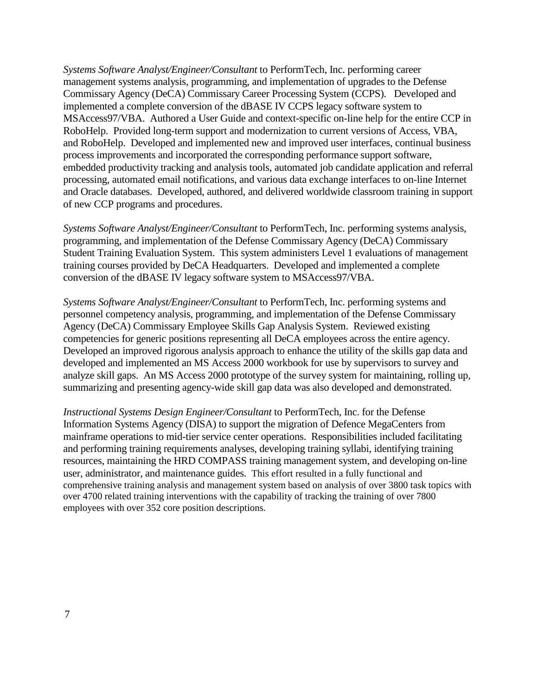*Systems Software Analyst/Engineer/Consultant* to PerformTech, Inc. performing career management systems analysis, programming, and implementation of upgrades to the Defense Commissary Agency (DeCA) Commissary Career Processing System (CCPS). Developed and implemented a complete conversion of the dBASE IV CCPS legacy software system to MSAccess97/VBA. Authored a User Guide and context-specific on-line help for the entire CCP in RoboHelp. Provided long-term support and modernization to current versions of Access, VBA, and RoboHelp. Developed and implemented new and improved user interfaces, continual business process improvements and incorporated the corresponding performance support software, embedded productivity tracking and analysis tools, automated job candidate application and referral processing, automated email notifications, and various data exchange interfaces to on-line Internet and Oracle databases. Developed, authored, and delivered worldwide classroom training in support of new CCP programs and procedures.

*Systems Software Analyst/Engineer/Consultant* to PerformTech, Inc. performing systems analysis, programming, and implementation of the Defense Commissary Agency (DeCA) Commissary Student Training Evaluation System. This system administers Level 1 evaluations of management training courses provided by DeCA Headquarters. Developed and implemented a complete conversion of the dBASE IV legacy software system to MSAccess97/VBA.

*Systems Software Analyst/Engineer/Consultant* to PerformTech, Inc. performing systems and personnel competency analysis, programming, and implementation of the Defense Commissary Agency (DeCA) Commissary Employee Skills Gap Analysis System. Reviewed existing competencies for generic positions representing all DeCA employees across the entire agency. Developed an improved rigorous analysis approach to enhance the utility of the skills gap data and developed and implemented an MS Access 2000 workbook for use by supervisors to survey and analyze skill gaps. An MS Access 2000 prototype of the survey system for maintaining, rolling up, summarizing and presenting agency-wide skill gap data was also developed and demonstrated.

*Instructional Systems Design Engineer/Consultant* to PerformTech, Inc. for the Defense Information Systems Agency (DISA) to support the migration of Defence MegaCenters from mainframe operations to mid-tier service center operations. Responsibilities included facilitating and performing training requirements analyses, developing training syllabi, identifying training resources, maintaining the HRD COMPASS training management system, and developing on-line user, administrator, and maintenance guides. This effort resulted in a fully functional and comprehensive training analysis and management system based on analysis of over 3800 task topics with over 4700 related training interventions with the capability of tracking the training of over 7800 employees with over 352 core position descriptions.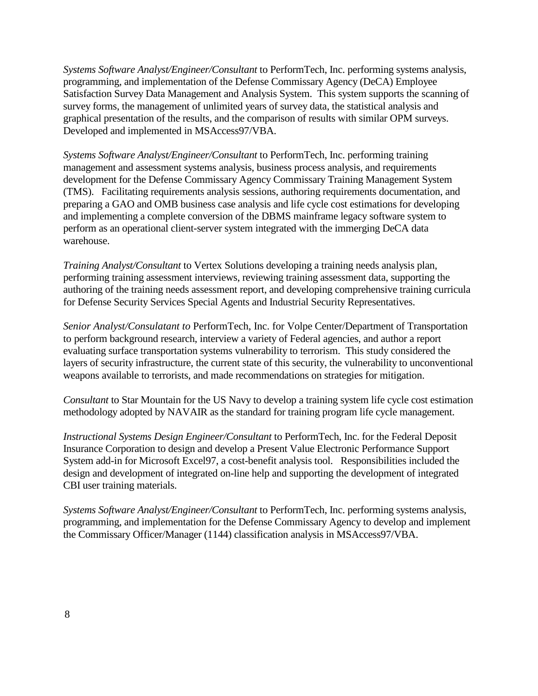*Systems Software Analyst/Engineer/Consultant* to PerformTech, Inc. performing systems analysis, programming, and implementation of the Defense Commissary Agency (DeCA) Employee Satisfaction Survey Data Management and Analysis System. This system supports the scanning of survey forms, the management of unlimited years of survey data, the statistical analysis and graphical presentation of the results, and the comparison of results with similar OPM surveys. Developed and implemented in MSAccess97/VBA.

*Systems Software Analyst/Engineer/Consultant* to PerformTech, Inc. performing training management and assessment systems analysis, business process analysis, and requirements development for the Defense Commissary Agency Commissary Training Management System (TMS). Facilitating requirements analysis sessions, authoring requirements documentation, and preparing a GAO and OMB business case analysis and life cycle cost estimations for developing and implementing a complete conversion of the DBMS mainframe legacy software system to perform as an operational client-server system integrated with the immerging DeCA data warehouse.

*Training Analyst/Consultant* to Vertex Solutions developing a training needs analysis plan, performing training assessment interviews, reviewing training assessment data, supporting the authoring of the training needs assessment report, and developing comprehensive training curricula for Defense Security Services Special Agents and Industrial Security Representatives.

*Senior Analyst/Consulatant to* PerformTech, Inc. for Volpe Center/Department of Transportation to perform background research, interview a variety of Federal agencies, and author a report evaluating surface transportation systems vulnerability to terrorism. This study considered the layers of security infrastructure, the current state of this security, the vulnerability to unconventional weapons available to terrorists, and made recommendations on strategies for mitigation.

*Consultant* to Star Mountain for the US Navy to develop a training system life cycle cost estimation methodology adopted by NAVAIR as the standard for training program life cycle management.

*Instructional Systems Design Engineer/Consultant* to PerformTech, Inc. for the Federal Deposit Insurance Corporation to design and develop a Present Value Electronic Performance Support System add-in for Microsoft Excel97, a cost-benefit analysis tool. Responsibilities included the design and development of integrated on-line help and supporting the development of integrated CBI user training materials.

*Systems Software Analyst/Engineer/Consultant* to PerformTech, Inc. performing systems analysis, programming, and implementation for the Defense Commissary Agency to develop and implement the Commissary Officer/Manager (1144) classification analysis in MSAccess97/VBA.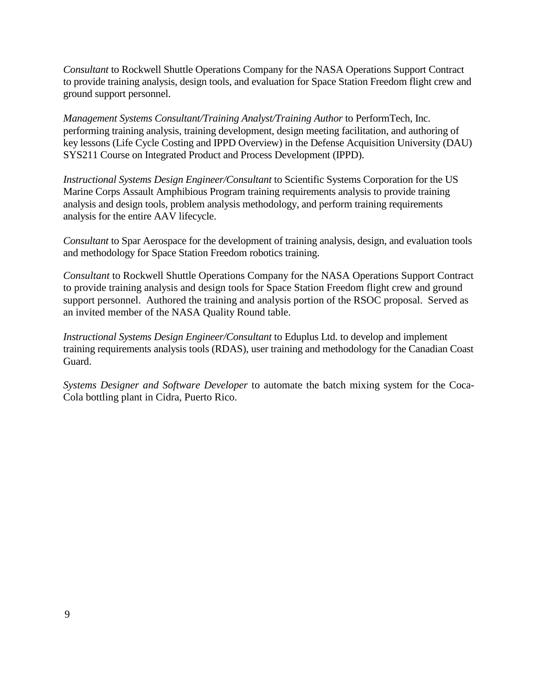*Consultant* to Rockwell Shuttle Operations Company for the NASA Operations Support Contract to provide training analysis, design tools, and evaluation for Space Station Freedom flight crew and ground support personnel.

*Management Systems Consultant/Training Analyst/Training Author to PerformTech, Inc.* performing training analysis, training development, design meeting facilitation, and authoring of key lessons (Life Cycle Costing and IPPD Overview) in the Defense Acquisition University (DAU) SYS211 Course on Integrated Product and Process Development (IPPD).

*Instructional Systems Design Engineer/Consultant* to Scientific Systems Corporation for the US Marine Corps Assault Amphibious Program training requirements analysis to provide training analysis and design tools, problem analysis methodology, and perform training requirements analysis for the entire AAV lifecycle.

*Consultant* to Spar Aerospace for the development of training analysis, design, and evaluation tools and methodology for Space Station Freedom robotics training.

*Consultant* to Rockwell Shuttle Operations Company for the NASA Operations Support Contract to provide training analysis and design tools for Space Station Freedom flight crew and ground support personnel. Authored the training and analysis portion of the RSOC proposal. Served as an invited member of the NASA Quality Round table.

*Instructional Systems Design Engineer/Consultant* to Eduplus Ltd. to develop and implement training requirements analysis tools (RDAS), user training and methodology for the Canadian Coast Guard.

*Systems Designer and Software Developer* to automate the batch mixing system for the Coca-Cola bottling plant in Cidra, Puerto Rico.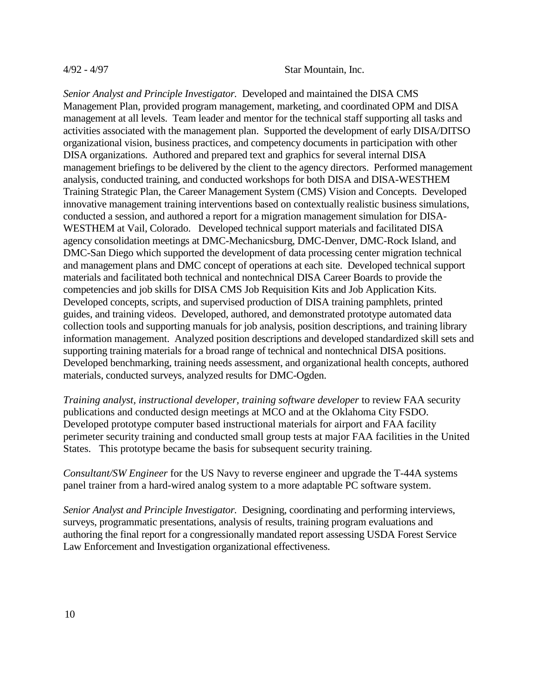#### 4/92 - 4/97 Star Mountain, Inc.

*Senior Analyst and Principle Investigator.* Developed and maintained the DISA CMS Management Plan, provided program management, marketing, and coordinated OPM and DISA management at all levels. Team leader and mentor for the technical staff supporting all tasks and activities associated with the management plan. Supported the development of early DISA/DITSO organizational vision, business practices, and competency documents in participation with other DISA organizations. Authored and prepared text and graphics for several internal DISA management briefings to be delivered by the client to the agency directors. Performed management analysis, conducted training, and conducted workshops for both DISA and DISA-WESTHEM Training Strategic Plan, the Career Management System (CMS) Vision and Concepts. Developed innovative management training interventions based on contextually realistic business simulations, conducted a session, and authored a report for a migration management simulation for DISA-WESTHEM at Vail, Colorado. Developed technical support materials and facilitated DISA agency consolidation meetings at DMC-Mechanicsburg, DMC-Denver, DMC-Rock Island, and DMC-San Diego which supported the development of data processing center migration technical and management plans and DMC concept of operations at each site. Developed technical support materials and facilitated both technical and nontechnical DISA Career Boards to provide the competencies and job skills for DISA CMS Job Requisition Kits and Job Application Kits. Developed concepts, scripts, and supervised production of DISA training pamphlets, printed guides, and training videos. Developed, authored, and demonstrated prototype automated data collection tools and supporting manuals for job analysis, position descriptions, and training library information management. Analyzed position descriptions and developed standardized skill sets and supporting training materials for a broad range of technical and nontechnical DISA positions. Developed benchmarking, training needs assessment, and organizational health concepts, authored materials, conducted surveys, analyzed results for DMC-Ogden.

*Training analyst, instructional developer, training software developer* to review FAA security publications and conducted design meetings at MCO and at the Oklahoma City FSDO. Developed prototype computer based instructional materials for airport and FAA facility perimeter security training and conducted small group tests at major FAA facilities in the United States. This prototype became the basis for subsequent security training.

*Consultant/SW Engineer* for the US Navy to reverse engineer and upgrade the T-44A systems panel trainer from a hard-wired analog system to a more adaptable PC software system.

*Senior Analyst and Principle Investigator.* Designing, coordinating and performing interviews, surveys, programmatic presentations, analysis of results, training program evaluations and authoring the final report for a congressionally mandated report assessing USDA Forest Service Law Enforcement and Investigation organizational effectiveness.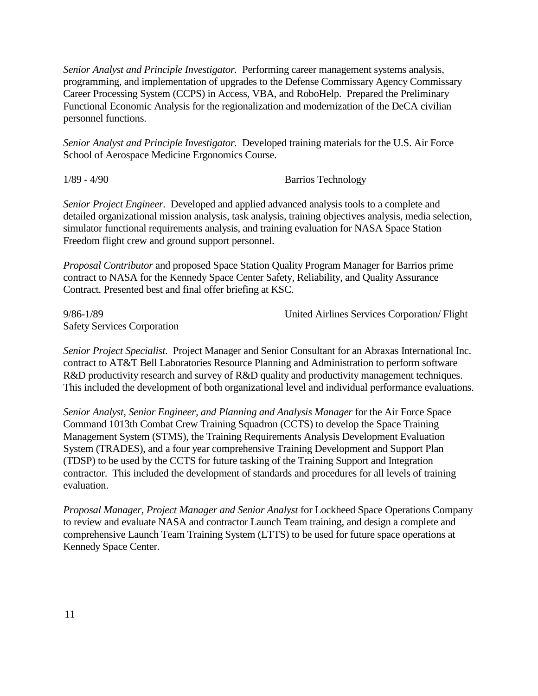*Senior Analyst and Principle Investigator.* Performing career management systems analysis, programming, and implementation of upgrades to the Defense Commissary Agency Commissary Career Processing System (CCPS) in Access, VBA, and RoboHelp. Prepared the Preliminary Functional Economic Analysis for the regionalization and modernization of the DeCA civilian personnel functions.

*Senior Analyst and Principle Investigator.* Developed training materials for the U.S. Air Force School of Aerospace Medicine Ergonomics Course.

1/89 - 4/90 Barrios Technology

*Senior Project Engineer.* Developed and applied advanced analysis tools to a complete and detailed organizational mission analysis, task analysis, training objectives analysis, media selection, simulator functional requirements analysis, and training evaluation for NASA Space Station Freedom flight crew and ground support personnel.

*Proposal Contributor* and proposed Space Station Quality Program Manager for Barrios prime contract to NASA for the Kennedy Space Center Safety, Reliability, and Quality Assurance Contract. Presented best and final offer briefing at KSC.

Safety Services Corporation

9/86-1/89 United Airlines Services Corporation/ Flight

*Senior Project Specialist.* Project Manager and Senior Consultant for an Abraxas International Inc. contract to AT&T Bell Laboratories Resource Planning and Administration to perform software R&D productivity research and survey of R&D quality and productivity management techniques. This included the development of both organizational level and individual performance evaluations.

*Senior Analyst, Senior Engineer, and Planning and Analysis Manager* for the Air Force Space Command 1013th Combat Crew Training Squadron (CCTS) to develop the Space Training Management System (STMS), the Training Requirements Analysis Development Evaluation System (TRADES), and a four year comprehensive Training Development and Support Plan (TDSP) to be used by the CCTS for future tasking of the Training Support and Integration contractor. This included the development of standards and procedures for all levels of training evaluation.

*Proposal Manager, Project Manager and Senior Analyst* for Lockheed Space Operations Company to review and evaluate NASA and contractor Launch Team training, and design a complete and comprehensive Launch Team Training System (LTTS) to be used for future space operations at Kennedy Space Center.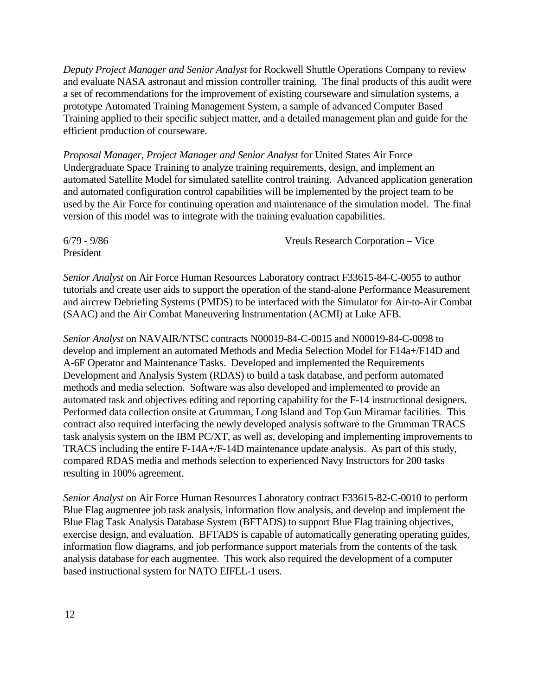*Deputy Project Manager and Senior Analyst* for Rockwell Shuttle Operations Company to review and evaluate NASA astronaut and mission controller training. The final products of this audit were a set of recommendations for the improvement of existing courseware and simulation systems, a prototype Automated Training Management System, a sample of advanced Computer Based Training applied to their specific subject matter, and a detailed management plan and guide for the efficient production of courseware.

*Proposal Manager, Project Manager and Senior Analyst* for United States Air Force Undergraduate Space Training to analyze training requirements, design, and implement an automated Satellite Model for simulated satellite control training. Advanced application generation and automated configuration control capabilities will be implemented by the project team to be used by the Air Force for continuing operation and maintenance of the simulation model. The final version of this model was to integrate with the training evaluation capabilities.

President

6/79 - 9/86 Vreuls Research Corporation – Vice

*Senior Analyst* on Air Force Human Resources Laboratory contract F33615-84-C-0055 to author tutorials and create user aids to support the operation of the stand-alone Performance Measurement and aircrew Debriefing Systems (PMDS) to be interfaced with the Simulator for Air-to-Air Combat (SAAC) and the Air Combat Maneuvering Instrumentation (ACMI) at Luke AFB.

*Senior Analyst* on NAVAIR/NTSC contracts N00019-84-C-0015 and N00019-84-C-0098 to develop and implement an automated Methods and Media Selection Model for F14a+/F14D and A-6F Operator and Maintenance Tasks. Developed and implemented the Requirements Development and Analysis System (RDAS) to build a task database, and perform automated methods and media selection. Software was also developed and implemented to provide an automated task and objectives editing and reporting capability for the F-14 instructional designers. Performed data collection onsite at Grumman, Long Island and Top Gun Miramar facilities.This contract also required interfacing the newly developed analysis software to the Grumman TRACS task analysis system on the IBM PC/XT, as well as, developing and implementing improvements to TRACS including the entire F-14A+/F-14D maintenance update analysis. As part of this study, compared RDAS media and methods selection to experienced Navy Instructors for 200 tasks resulting in 100% agreement.

*Senior Analyst* on Air Force Human Resources Laboratory contract F33615-82-C-0010 to perform Blue Flag augmentee job task analysis, information flow analysis, and develop and implement the Blue Flag Task Analysis Database System (BFTADS) to support Blue Flag training objectives, exercise design, and evaluation. BFTADS is capable of automatically generating operating guides, information flow diagrams, and job performance support materials from the contents of the task analysis database for each augmentee. This work also required the development of a computer based instructional system for NATO EIFEL-1 users.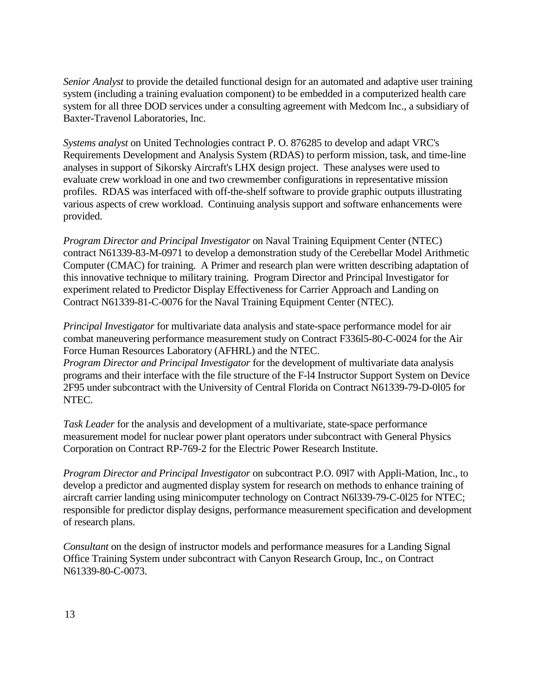*Senior Analyst* to provide the detailed functional design for an automated and adaptive user training system (including a training evaluation component) to be embedded in a computerized health care system for all three DOD services under a consulting agreement with Medcom Inc., a subsidiary of Baxter-Travenol Laboratories, Inc.

*Systems analyst* on United Technologies contract P. O. 876285 to develop and adapt VRC's Requirements Development and Analysis System (RDAS) to perform mission, task, and time-line analyses in support of Sikorsky Aircraft's LHX design project. These analyses were used to evaluate crew workload in one and two crewmember configurations in representative mission profiles. RDAS was interfaced with off-the-shelf software to provide graphic outputs illustrating various aspects of crew workload. Continuing analysis support and software enhancements were provided.

*Program Director and Principal Investigator* on Naval Training Equipment Center (NTEC) contract N61339-83-M-0971 to develop a demonstration study of the Cerebellar Model Arithmetic Computer (CMAC) for training. A Primer and research plan were written describing adaptation of this innovative technique to military training. Program Director and Principal Investigator for experiment related to Predictor Display Effectiveness for Carrier Approach and Landing on Contract N61339-81-C-0076 for the Naval Training Equipment Center (NTEC).

*Principal Investigator* for multivariate data analysis and state-space performance model for air combat maneuvering performance measurement study on Contract F336l5-80-C-0024 for the Air Force Human Resources Laboratory (AFHRL) and the NTEC.

*Program Director and Principal Investigator* for the development of multivariate data analysis programs and their interface with the file structure of the F-l4 Instructor Support System on Device 2F95 under subcontract with the University of Central Florida on Contract N61339-79-D-0l05 for NTEC.

*Task Leader* for the analysis and development of a multivariate, state-space performance measurement model for nuclear power plant operators under subcontract with General Physics Corporation on Contract RP-769-2 for the Electric Power Research Institute.

*Program Director and Principal Investigator* on subcontract P.O. 09l7 with Appli-Mation, Inc., to develop a predictor and augmented display system for research on methods to enhance training of aircraft carrier landing using minicomputer technology on Contract N6l339-79-C-0l25 for NTEC; responsible for predictor display designs, performance measurement specification and development of research plans.

*Consultant* on the design of instructor models and performance measures for a Landing Signal Office Training System under subcontract with Canyon Research Group, Inc., on Contract N61339-80-C-0073.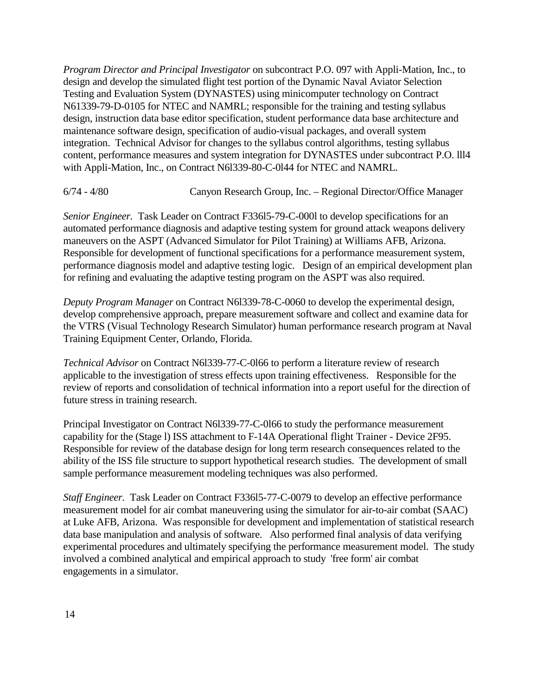*Program Director and Principal Investigator* on subcontract P.O. 097 with Appli-Mation, Inc., to design and develop the simulated flight test portion of the Dynamic Naval Aviator Selection Testing and Evaluation System (DYNASTES) using minicomputer technology on Contract N61339-79-D-0105 for NTEC and NAMRL; responsible for the training and testing syllabus design, instruction data base editor specification, student performance data base architecture and maintenance software design, specification of audio-visual packages, and overall system integration. Technical Advisor for changes to the syllabus control algorithms, testing syllabus content, performance measures and system integration for DYNASTES under subcontract P.O. lll4 with Appli-Mation, Inc., on Contract N6l339-80-C-0l44 for NTEC and NAMRL.

6/74 - 4/80 Canyon Research Group, Inc. – Regional Director/Office Manager

*Senior Engineer.* Task Leader on Contract F336l5-79-C-000l to develop specifications for an automated performance diagnosis and adaptive testing system for ground attack weapons delivery maneuvers on the ASPT (Advanced Simulator for Pilot Training) at Williams AFB, Arizona. Responsible for development of functional specifications for a performance measurement system, performance diagnosis model and adaptive testing logic. Design of an empirical development plan for refining and evaluating the adaptive testing program on the ASPT was also required.

*Deputy Program Manager* on Contract N6l339-78-C-0060 to develop the experimental design, develop comprehensive approach, prepare measurement software and collect and examine data for the VTRS (Visual Technology Research Simulator) human performance research program at Naval Training Equipment Center, Orlando, Florida.

*Technical Advisor* on Contract N6l339-77-C-0l66 to perform a literature review of research applicable to the investigation of stress effects upon training effectiveness. Responsible for the review of reports and consolidation of technical information into a report useful for the direction of future stress in training research.

Principal Investigator on Contract N6l339-77-C-0l66 to study the performance measurement capability for the (Stage l) ISS attachment to F-14A Operational flight Trainer - Device 2F95. Responsible for review of the database design for long term research consequences related to the ability of the ISS file structure to support hypothetical research studies. The development of small sample performance measurement modeling techniques was also performed.

*Staff Engineer.* Task Leader on Contract F336l5-77-C-0079 to develop an effective performance measurement model for air combat maneuvering using the simulator for air-to-air combat (SAAC) at Luke AFB, Arizona. Was responsible for development and implementation of statistical research data base manipulation and analysis of software. Also performed final analysis of data verifying experimental procedures and ultimately specifying the performance measurement model. The study involved a combined analytical and empirical approach to study 'free form' air combat engagements in a simulator.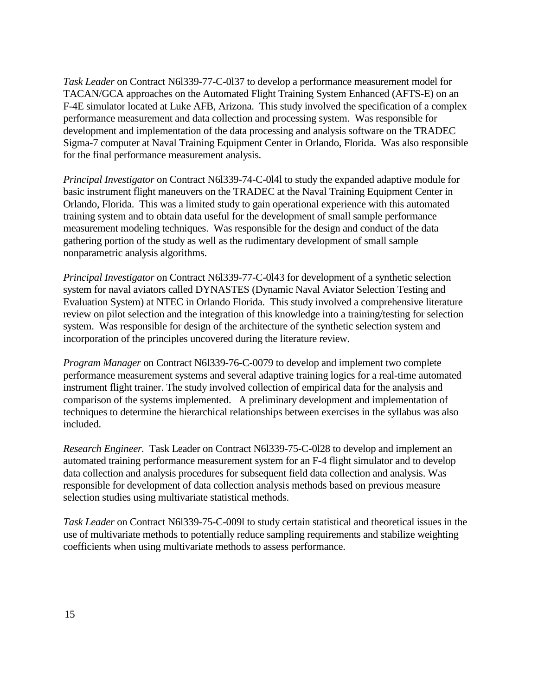*Task Leader* on Contract N6l339-77-C-0l37 to develop a performance measurement model for TACAN/GCA approaches on the Automated Flight Training System Enhanced (AFTS-E) on an F-4E simulator located at Luke AFB, Arizona. This study involved the specification of a complex performance measurement and data collection and processing system. Was responsible for development and implementation of the data processing and analysis software on the TRADEC Sigma-7 computer at Naval Training Equipment Center in Orlando, Florida. Was also responsible for the final performance measurement analysis.

*Principal Investigator* on Contract N6l339-74-C-0l4l to study the expanded adaptive module for basic instrument flight maneuvers on the TRADEC at the Naval Training Equipment Center in Orlando, Florida. This was a limited study to gain operational experience with this automated training system and to obtain data useful for the development of small sample performance measurement modeling techniques. Was responsible for the design and conduct of the data gathering portion of the study as well as the rudimentary development of small sample nonparametric analysis algorithms.

*Principal Investigator* on Contract N6l339-77-C-0l43 for development of a synthetic selection system for naval aviators called DYNASTES (Dynamic Naval Aviator Selection Testing and Evaluation System) at NTEC in Orlando Florida. This study involved a comprehensive literature review on pilot selection and the integration of this knowledge into a training/testing for selection system. Was responsible for design of the architecture of the synthetic selection system and incorporation of the principles uncovered during the literature review.

*Program Manager* on Contract N6l339-76-C-0079 to develop and implement two complete performance measurement systems and several adaptive training logics for a real-time automated instrument flight trainer. The study involved collection of empirical data for the analysis and comparison of the systems implemented. A preliminary development and implementation of techniques to determine the hierarchical relationships between exercises in the syllabus was also included.

*Research Engineer.* Task Leader on Contract N6l339-75-C-0l28 to develop and implement an automated training performance measurement system for an F-4 flight simulator and to develop data collection and analysis procedures for subsequent field data collection and analysis. Was responsible for development of data collection analysis methods based on previous measure selection studies using multivariate statistical methods.

*Task Leader* on Contract N6l339-75-C-009l to study certain statistical and theoretical issues in the use of multivariate methods to potentially reduce sampling requirements and stabilize weighting coefficients when using multivariate methods to assess performance.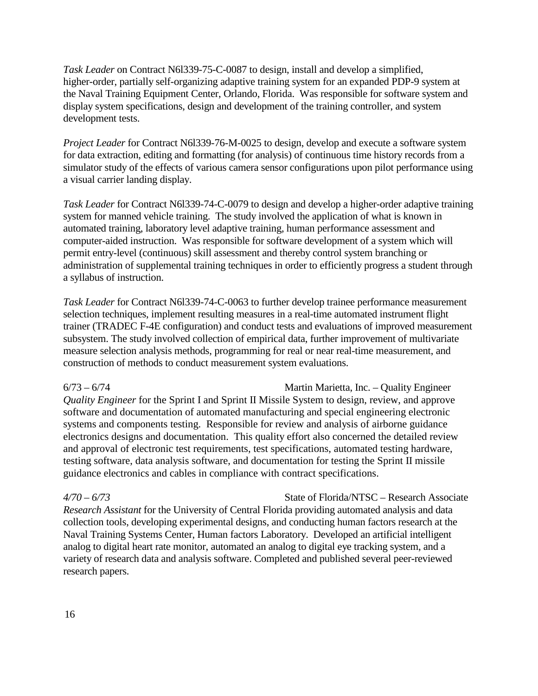*Task Leader* on Contract N6l339-75-C-0087 to design, install and develop a simplified, higher-order, partially self-organizing adaptive training system for an expanded PDP-9 system at the Naval Training Equipment Center, Orlando, Florida. Was responsible for software system and display system specifications, design and development of the training controller, and system development tests.

*Project Leader* for Contract N6l339-76-M-0025 to design, develop and execute a software system for data extraction, editing and formatting (for analysis) of continuous time history records from a simulator study of the effects of various camera sensor configurations upon pilot performance using a visual carrier landing display.

*Task Leader* for Contract N6l339-74-C-0079 to design and develop a higher-order adaptive training system for manned vehicle training. The study involved the application of what is known in automated training, laboratory level adaptive training, human performance assessment and computer-aided instruction. Was responsible for software development of a system which will permit entry-level (continuous) skill assessment and thereby control system branching or administration of supplemental training techniques in order to efficiently progress a student through a syllabus of instruction.

*Task Leader* for Contract N6l339-74-C-0063 to further develop trainee performance measurement selection techniques, implement resulting measures in a real-time automated instrument flight trainer (TRADEC F-4E configuration) and conduct tests and evaluations of improved measurement subsystem. The study involved collection of empirical data, further improvement of multivariate measure selection analysis methods, programming for real or near real-time measurement, and construction of methods to conduct measurement system evaluations.

6/73 – 6/74 Martin Marietta, Inc. – Quality Engineer *Quality Engineer* for the Sprint I and Sprint II Missile System to design, review, and approve software and documentation of automated manufacturing and special engineering electronic systems and components testing. Responsible for review and analysis of airborne guidance electronics designs and documentation. This quality effort also concerned the detailed review and approval of electronic test requirements, test specifications, automated testing hardware, testing software, data analysis software, and documentation for testing the Sprint II missile guidance electronics and cables in compliance with contract specifications.

*4/70* – *6/73* State of Florida/NTSC – Research Associate *Research Assistant* for the University of Central Florida providing automated analysis and data collection tools, developing experimental designs, and conducting human factors research at the Naval Training Systems Center, Human factors Laboratory. Developed an artificial intelligent analog to digital heart rate monitor, automated an analog to digital eye tracking system, and a variety of research data and analysis software. Completed and published several peer-reviewed research papers.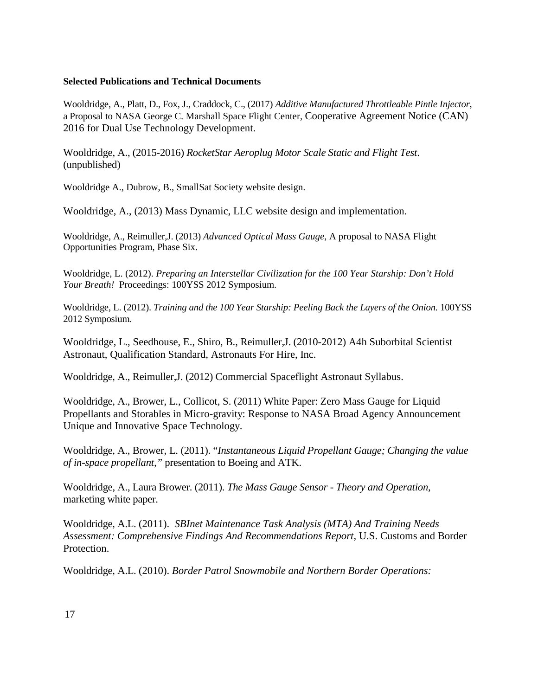#### **Selected Publications and Technical Documents**

Wooldridge, A., Platt, D., Fox, J., Craddock, C., (2017) *Additive Manufactured Throttleable Pintle Injector*, a Proposal to NASA George C. Marshall Space Flight Center, Cooperative Agreement Notice (CAN) 2016 for Dual Use Technology Development.

Wooldridge, A., (2015-2016) *RocketStar Aeroplug Motor Scale Static and Flight Test*. (unpublished)

Wooldridge A., Dubrow, B., SmallSat Society website design.

Wooldridge, A., (2013) Mass Dynamic, LLC website design and implementation.

Wooldridge, A., Reimuller,J. (2013) *Advanced Optical Mass Gauge*, A proposal to NASA Flight Opportunities Program, Phase Six.

Wooldridge, L. (2012). *Preparing an Interstellar Civilization for the 100 Year Starship: Don't Hold Your Breath!* Proceedings: 100YSS 2012 Symposium.

Wooldridge, L. (2012). *Training and the 100 Year Starship: Peeling Back the Layers of the Onion.* 100YSS 2012 Symposium.

Wooldridge, L., Seedhouse, E., Shiro, B., Reimuller,J. (2010-2012) A4h Suborbital Scientist Astronaut, Qualification Standard, Astronauts For Hire, Inc.

Wooldridge, A., Reimuller,J. (2012) Commercial Spaceflight Astronaut Syllabus.

Wooldridge, A., Brower, L., Collicot, S. (2011) White Paper: Zero Mass Gauge for Liquid Propellants and Storables in Micro-gravity: Response to NASA Broad Agency Announcement Unique and Innovative Space Technology.

Wooldridge, A., Brower, L. (2011). "*Instantaneous Liquid Propellant Gauge; Changing the value of in-space propellant,"* presentation to Boeing and ATK.

Wooldridge, A., Laura Brower. (2011). *The Mass Gauge Sensor - Theory and Operation,* marketing white paper.

Wooldridge, A.L. (2011). *SBInet Maintenance Task Analysis (MTA) And Training Needs Assessment: Comprehensive Findings And Recommendations Report,* U.S. Customs and Border Protection.

Wooldridge, A.L. (2010). *Border Patrol Snowmobile and Northern Border Operations:*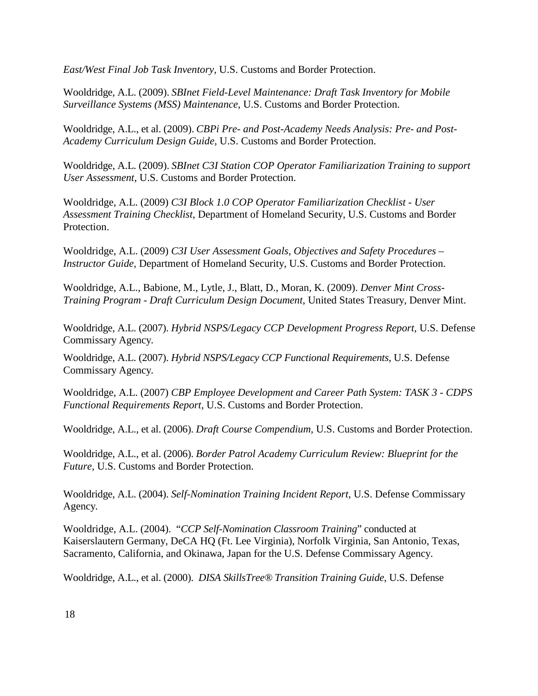*East/West Final Job Task Inventory,* U.S. Customs and Border Protection.

Wooldridge, A.L. (2009). *SBInet Field-Level Maintenance: Draft Task Inventory for Mobile Surveillance Systems (MSS) Maintenance*, U.S. Customs and Border Protection.

Wooldridge, A.L., et al. (2009). *CBPi Pre- and Post-Academy Needs Analysis: Pre- and Post-Academy Curriculum Design Guide,* U.S. Customs and Border Protection.

Wooldridge, A.L. (2009). *SBInet C3I Station COP Operator Familiarization Training to support User Assessment*, U.S. Customs and Border Protection.

Wooldridge, A.L. (2009) *C3I Block 1.0 COP Operator Familiarization Checklist - User Assessment Training Checklist*, Department of Homeland Security, U.S. Customs and Border Protection.

Wooldridge, A.L. (2009) *C3I User Assessment Goals, Objectives and Safety Procedures – Instructor Guide,* Department of Homeland Security, U.S. Customs and Border Protection.

Wooldridge, A.L., Babione, M., Lytle, J., Blatt, D., Moran, K. (2009). *Denver Mint Cross-Training Program - Draft Curriculum Design Document*, United States Treasury, Denver Mint.

Wooldridge, A.L. (2007). *Hybrid NSPS/Legacy CCP Development Progress Report,* U.S. Defense Commissary Agency*.*

Wooldridge, A.L. (2007). *Hybrid NSPS/Legacy CCP Functional Requirements*, U.S. Defense Commissary Agency*.*

Wooldridge, A.L. (2007) *CBP Employee Development and Career Path System: TASK 3 - CDPS Functional Requirements Report,* U.S. Customs and Border Protection.

Wooldridge, A.L., et al. (2006). *Draft Course Compendium,* U.S. Customs and Border Protection.

Wooldridge, A.L., et al. (2006). *Border Patrol Academy Curriculum Review: Blueprint for the Future,* U.S. Customs and Border Protection.

Wooldridge, A.L. (2004). *Self-Nomination Training Incident Report*, U.S. Defense Commissary Agency*.*

Wooldridge, A.L. (2004). "*CCP Self-Nomination Classroom Training*" conducted at Kaiserslautern Germany, DeCA HQ (Ft. Lee Virginia), Norfolk Virginia, San Antonio, Texas, Sacramento, California, and Okinawa, Japan for the U.S. Defense Commissary Agency.

Wooldridge, A.L., et al. (2000). *DISA SkillsTree® Transition Training Guide*, U.S. Defense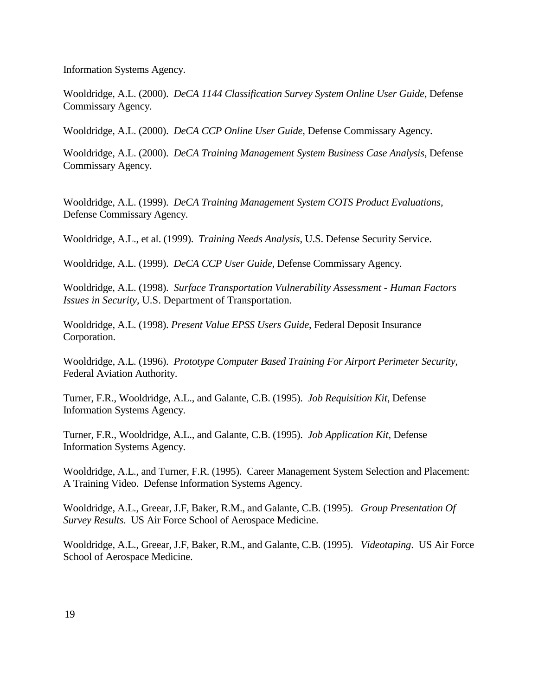Information Systems Agency.

Wooldridge, A.L. (2000). *DeCA 1144 Classification Survey System Online User Guide*, Defense Commissary Agency.

Wooldridge, A.L. (2000). *DeCA CCP Online User Guide*, Defense Commissary Agency.

Wooldridge, A.L. (2000). *DeCA Training Management System Business Case Analysis*, Defense Commissary Agency.

Wooldridge, A.L. (1999). *DeCA Training Management System COTS Product Evaluations*, Defense Commissary Agency.

Wooldridge, A.L., et al. (1999). *Training Needs Analysis*, U.S. Defense Security Service.

Wooldridge, A.L. (1999). *DeCA CCP User Guide*, Defense Commissary Agency.

Wooldridge, A.L. (1998). *Surface Transportation Vulnerability Assessment - Human Factors Issues in Security,* U.S. Department of Transportation.

Wooldridge, A.L. (1998). *Present Value EPSS Users Guide*, Federal Deposit Insurance Corporation.

Wooldridge, A.L. (1996). *Prototype Computer Based Training For Airport Perimeter Security*, Federal Aviation Authority.

Turner, F.R., Wooldridge, A.L., and Galante, C.B. (1995). *Job Requisition Kit*, Defense Information Systems Agency.

Turner, F.R., Wooldridge, A.L., and Galante, C.B. (1995). *Job Application Kit*, Defense Information Systems Agency.

Wooldridge, A.L., and Turner, F.R. (1995). Career Management System Selection and Placement: A Training Video. Defense Information Systems Agency.

Wooldridge, A.L., Greear, J.F, Baker, R.M., and Galante, C.B. (1995). *Group Presentation Of Survey Results*. US Air Force School of Aerospace Medicine.

Wooldridge, A.L., Greear, J.F, Baker, R.M., and Galante, C.B. (1995). *Videotaping*. US Air Force School of Aerospace Medicine.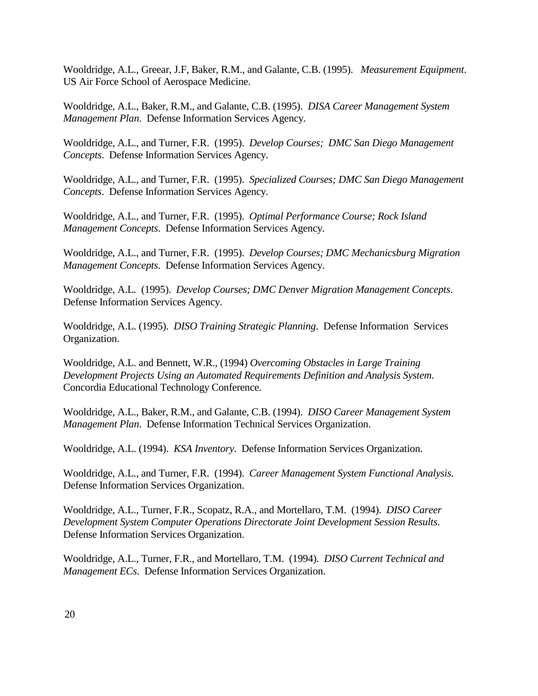Wooldridge, A.L., Greear, J.F, Baker, R.M., and Galante, C.B. (1995). *Measurement Equipment*. US Air Force School of Aerospace Medicine.

Wooldridge, A.L., Baker, R.M., and Galante, C.B. (1995). *DISA Career Management System Management Plan*. Defense Information Services Agency.

Wooldridge, A.L., and Turner, F.R. (1995). *Develop Courses; DMC San Diego Management Concepts*. Defense Information Services Agency.

Wooldridge, A.L., and Turner, F.R. (1995). *Specialized Courses; DMC San Diego Management Concepts*. Defense Information Services Agency.

Wooldridge, A.L., and Turner, F.R. (1995). *Optimal Performance Course; Rock Island Management Concepts*. Defense Information Services Agency.

Wooldridge, A.L., and Turner, F.R. (1995). *Develop Courses; DMC Mechanicsburg Migration Management Concepts*. Defense Information Services Agency.

Wooldridge, A.L. (1995). *Develop Courses; DMC Denver Migration Management Concepts*. Defense Information Services Agency.

Wooldridge, A.L. (1995). *DISO Training Strategic Planning*. Defense Information Services Organization.

Wooldridge, A.L. and Bennett, W.R., (1994) *Overcoming Obstacles in Large Training Development Projects Using an Automated Requirements Definition and Analysis System*. Concordia Educational Technology Conference.

Wooldridge, A.L., Baker, R.M., and Galante, C.B. (1994). *DISO Career Management System Management Plan*. Defense Information Technical Services Organization.

Wooldridge, A.L. (1994). *KSA Inventory*. Defense Information Services Organization.

Wooldridge, A.L., and Turner, F.R. (1994). *Career Management System Functional Analysis*. Defense Information Services Organization.

Wooldridge, A.L., Turner, F.R., Scopatz, R.A., and Mortellaro, T.M. (1994). *DISO Career Development System Computer Operations Directorate Joint Development Session Results*. Defense Information Services Organization.

Wooldridge, A.L., Turner, F.R., and Mortellaro, T.M. (1994). *DISO Current Technical and Management ECs*. Defense Information Services Organization.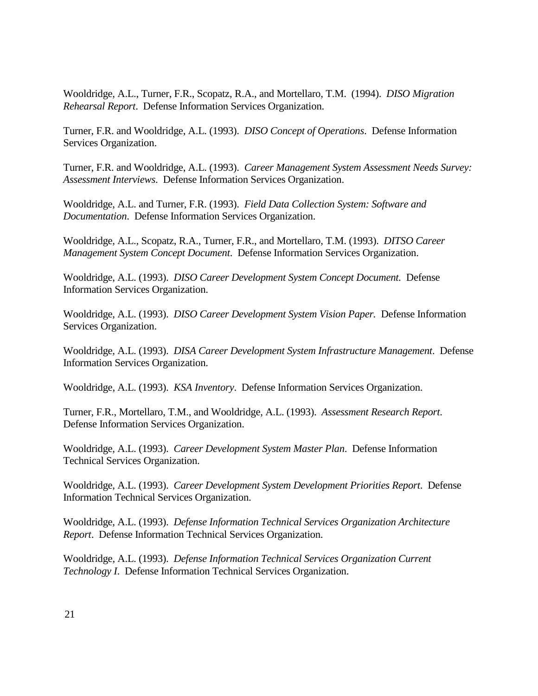Wooldridge, A.L., Turner, F.R., Scopatz, R.A., and Mortellaro, T.M. (1994). *DISO Migration Rehearsal Report*. Defense Information Services Organization.

Turner, F.R. and Wooldridge, A.L. (1993). *DISO Concept of Operations*. Defense Information Services Organization.

Turner, F.R. and Wooldridge, A.L. (1993). *Career Management System Assessment Needs Survey: Assessment Interviews*. Defense Information Services Organization.

Wooldridge, A.L. and Turner, F.R. (1993). *Field Data Collection System: Software and Documentation*. Defense Information Services Organization.

Wooldridge, A.L., Scopatz, R.A., Turner, F.R., and Mortellaro, T.M. (1993). *DITSO Career Management System Concept Document*. Defense Information Services Organization.

Wooldridge, A.L. (1993). *DISO Career Development System Concept Document.* Defense Information Services Organization.

Wooldridge, A.L. (1993). *DISO Career Development System Vision Paper.* Defense Information Services Organization.

Wooldridge, A.L. (1993). *DISA Career Development System Infrastructure Management*. Defense Information Services Organization.

Wooldridge, A.L. (1993). *KSA Inventory*. Defense Information Services Organization.

Turner, F.R., Mortellaro, T.M., and Wooldridge, A.L. (1993). *Assessment Research Report*. Defense Information Services Organization.

Wooldridge, A.L. (1993). *Career Development System Master Plan*. Defense Information Technical Services Organization.

Wooldridge, A.L. (1993). *Career Development System Development Priorities Report*. Defense Information Technical Services Organization.

Wooldridge, A.L. (1993). *Defense Information Technical Services Organization Architecture Report*. Defense Information Technical Services Organization.

Wooldridge, A.L. (1993). *Defense Information Technical Services Organization Current Technology I*. Defense Information Technical Services Organization.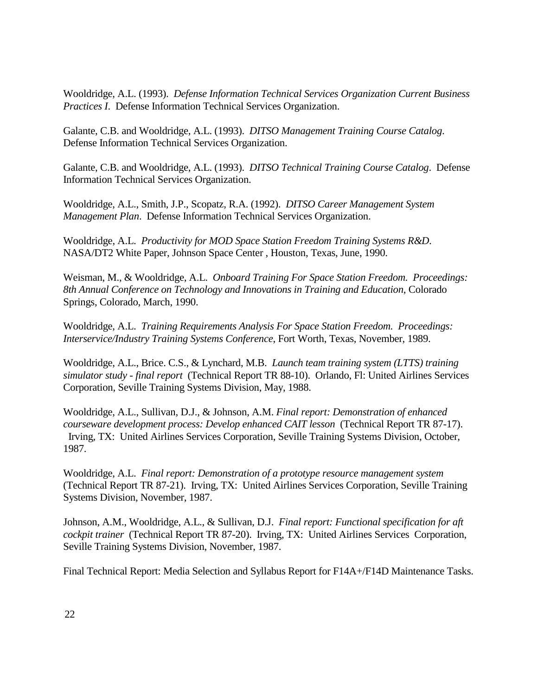Wooldridge, A.L. (1993). *Defense Information Technical Services Organization Current Business Practices I*. Defense Information Technical Services Organization.

Galante, C.B. and Wooldridge, A.L. (1993). *DITSO Management Training Course Catalog*. Defense Information Technical Services Organization.

Galante, C.B. and Wooldridge, A.L. (1993). *DITSO Technical Training Course Catalog*. Defense Information Technical Services Organization.

Wooldridge, A.L., Smith, J.P., Scopatz, R.A. (1992). *DITSO Career Management System Management Plan*. Defense Information Technical Services Organization.

Wooldridge, A.L. *Productivity for MOD Space Station Freedom Training Systems R&D*. NASA/DT2 White Paper, Johnson Space Center , Houston, Texas, June, 1990.

Weisman, M., & Wooldridge, A.L. *Onboard Training For Space Station Freedom. Proceedings: 8th Annual Conference on Technology and Innovations in Training and Education*, Colorado Springs, Colorado, March, 1990.

Wooldridge, A.L. *Training Requirements Analysis For Space Station Freedom. Proceedings: Interservice/Industry Training Systems Conference*, Fort Worth, Texas, November, 1989.

Wooldridge, A.L., Brice. C.S., & Lynchard, M.B. *Launch team training system (LTTS) training simulator study - final report* (Technical Report TR 88-10). Orlando, Fl: United Airlines Services Corporation, Seville Training Systems Division, May, 1988.

Wooldridge, A.L., Sullivan, D.J., & Johnson, A.M. *Final report: Demonstration of enhanced courseware development process: Develop enhanced CAIT lesson* (Technical Report TR 87-17). Irving, TX: United Airlines Services Corporation, Seville Training Systems Division, October, 1987.

Wooldridge, A.L. *Final report: Demonstration of a prototype resource management system* (Technical Report TR 87-21). Irving, TX: United Airlines Services Corporation, Seville Training Systems Division, November, 1987.

Johnson, A.M., Wooldridge, A.L., & Sullivan, D.J. *Final report: Functional specification for aft cockpit trainer* (Technical Report TR 87-20). Irving, TX: United Airlines Services Corporation, Seville Training Systems Division, November, 1987.

Final Technical Report: Media Selection and Syllabus Report for F14A+/F14D Maintenance Tasks.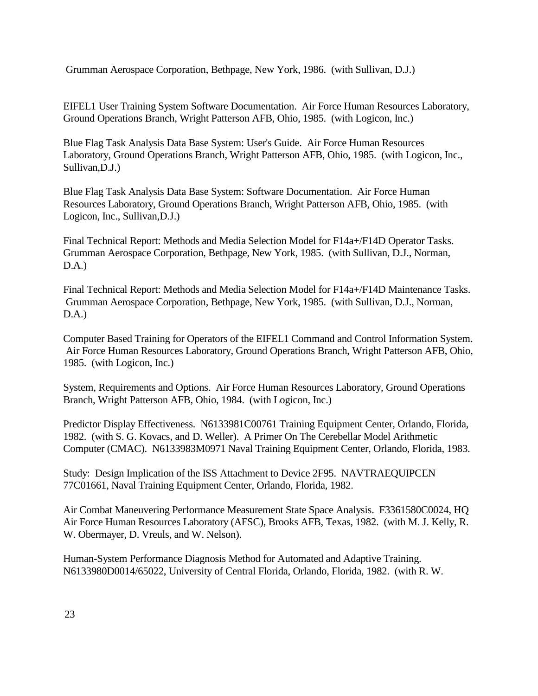Grumman Aerospace Corporation, Bethpage, New York, 1986. (with Sullivan, D.J.)

EIFEL1 User Training System Software Documentation. Air Force Human Resources Laboratory, Ground Operations Branch, Wright Patterson AFB, Ohio, 1985. (with Logicon, Inc.)

Blue Flag Task Analysis Data Base System: User's Guide. Air Force Human Resources Laboratory, Ground Operations Branch, Wright Patterson AFB, Ohio, 1985. (with Logicon, Inc., Sullivan,D.J.)

Blue Flag Task Analysis Data Base System: Software Documentation. Air Force Human Resources Laboratory, Ground Operations Branch, Wright Patterson AFB, Ohio, 1985. (with Logicon, Inc., Sullivan,D.J.)

Final Technical Report: Methods and Media Selection Model for F14a+/F14D Operator Tasks. Grumman Aerospace Corporation, Bethpage, New York, 1985. (with Sullivan, D.J., Norman, D.A.)

Final Technical Report: Methods and Media Selection Model for F14a+/F14D Maintenance Tasks. Grumman Aerospace Corporation, Bethpage, New York, 1985. (with Sullivan, D.J., Norman, D.A.)

Computer Based Training for Operators of the EIFEL1 Command and Control Information System. Air Force Human Resources Laboratory, Ground Operations Branch, Wright Patterson AFB, Ohio, 1985. (with Logicon, Inc.)

System, Requirements and Options. Air Force Human Resources Laboratory, Ground Operations Branch, Wright Patterson AFB, Ohio, 1984. (with Logicon, Inc.)

Predictor Display Effectiveness. N6133981C00761 Training Equipment Center, Orlando, Florida, 1982. (with S. G. Kovacs, and D. Weller). A Primer On The Cerebellar Model Arithmetic Computer (CMAC). N6133983M0971 Naval Training Equipment Center, Orlando, Florida, 1983.

Study: Design Implication of the ISS Attachment to Device 2F95. NAVTRAEQUIPCEN 77C01661, Naval Training Equipment Center, Orlando, Florida, 1982.

Air Combat Maneuvering Performance Measurement State Space Analysis. F3361580C0024, HQ Air Force Human Resources Laboratory (AFSC), Brooks AFB, Texas, 1982. (with M. J. Kelly, R. W. Obermayer, D. Vreuls, and W. Nelson).

Human-System Performance Diagnosis Method for Automated and Adaptive Training. N6133980D0014/65022, University of Central Florida, Orlando, Florida, 1982. (with R. W.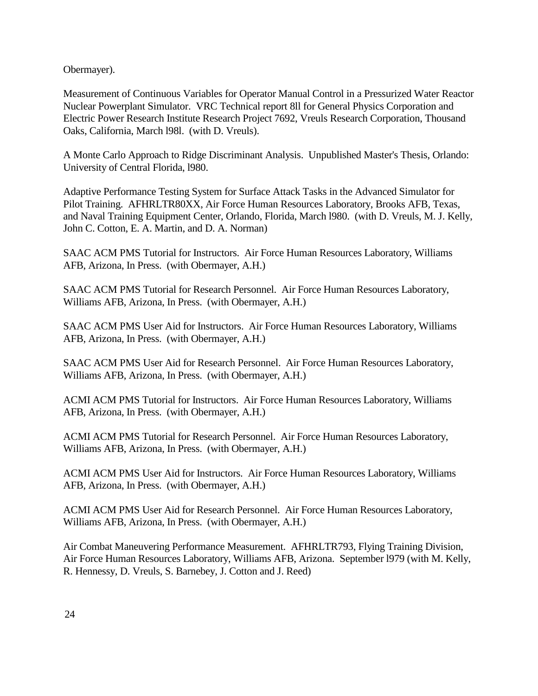Obermayer).

Measurement of Continuous Variables for Operator Manual Control in a Pressurized Water Reactor Nuclear Powerplant Simulator. VRC Technical report 8ll for General Physics Corporation and Electric Power Research Institute Research Project 7692, Vreuls Research Corporation, Thousand Oaks, California, March l98l. (with D. Vreuls).

A Monte Carlo Approach to Ridge Discriminant Analysis. Unpublished Master's Thesis, Orlando: University of Central Florida, l980.

Adaptive Performance Testing System for Surface Attack Tasks in the Advanced Simulator for Pilot Training. AFHRLTR80XX, Air Force Human Resources Laboratory, Brooks AFB, Texas, and Naval Training Equipment Center, Orlando, Florida, March l980. (with D. Vreuls, M. J. Kelly, John C. Cotton, E. A. Martin, and D. A. Norman)

SAAC ACM PMS Tutorial for Instructors. Air Force Human Resources Laboratory, Williams AFB, Arizona, In Press. (with Obermayer, A.H.)

SAAC ACM PMS Tutorial for Research Personnel. Air Force Human Resources Laboratory, Williams AFB, Arizona, In Press. (with Obermayer, A.H.)

SAAC ACM PMS User Aid for Instructors. Air Force Human Resources Laboratory, Williams AFB, Arizona, In Press. (with Obermayer, A.H.)

SAAC ACM PMS User Aid for Research Personnel. Air Force Human Resources Laboratory, Williams AFB, Arizona, In Press. (with Obermayer, A.H.)

ACMI ACM PMS Tutorial for Instructors. Air Force Human Resources Laboratory, Williams AFB, Arizona, In Press. (with Obermayer, A.H.)

ACMI ACM PMS Tutorial for Research Personnel. Air Force Human Resources Laboratory, Williams AFB, Arizona, In Press. (with Obermayer, A.H.)

ACMI ACM PMS User Aid for Instructors. Air Force Human Resources Laboratory, Williams AFB, Arizona, In Press. (with Obermayer, A.H.)

ACMI ACM PMS User Aid for Research Personnel. Air Force Human Resources Laboratory, Williams AFB, Arizona, In Press. (with Obermayer, A.H.)

Air Combat Maneuvering Performance Measurement. AFHRLTR793, Flying Training Division, Air Force Human Resources Laboratory, Williams AFB, Arizona. September l979 (with M. Kelly, R. Hennessy, D. Vreuls, S. Barnebey, J. Cotton and J. Reed)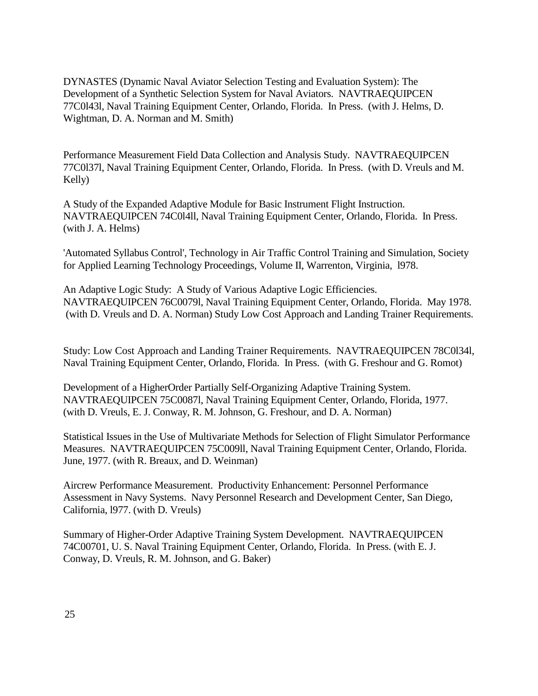DYNASTES (Dynamic Naval Aviator Selection Testing and Evaluation System): The Development of a Synthetic Selection System for Naval Aviators. NAVTRAEQUIPCEN 77C0l43l, Naval Training Equipment Center, Orlando, Florida. In Press. (with J. Helms, D. Wightman, D. A. Norman and M. Smith)

Performance Measurement Field Data Collection and Analysis Study. NAVTRAEQUIPCEN 77C0l37l, Naval Training Equipment Center, Orlando, Florida. In Press. (with D. Vreuls and M. Kelly)

A Study of the Expanded Adaptive Module for Basic Instrument Flight Instruction. NAVTRAEQUIPCEN 74C0l4ll, Naval Training Equipment Center, Orlando, Florida. In Press. (with J. A. Helms)

'Automated Syllabus Control', Technology in Air Traffic Control Training and Simulation, Society for Applied Learning Technology Proceedings, Volume II, Warrenton, Virginia, l978.

An Adaptive Logic Study: A Study of Various Adaptive Logic Efficiencies. NAVTRAEQUIPCEN 76C0079l, Naval Training Equipment Center, Orlando, Florida. May 1978. (with D. Vreuls and D. A. Norman) Study Low Cost Approach and Landing Trainer Requirements.

Study: Low Cost Approach and Landing Trainer Requirements. NAVTRAEQUIPCEN 78C0l34l, Naval Training Equipment Center, Orlando, Florida. In Press. (with G. Freshour and G. Romot)

Development of a HigherOrder Partially Self-Organizing Adaptive Training System. NAVTRAEQUIPCEN 75C0087l, Naval Training Equipment Center, Orlando, Florida, 1977. (with D. Vreuls, E. J. Conway, R. M. Johnson, G. Freshour, and D. A. Norman)

Statistical Issues in the Use of Multivariate Methods for Selection of Flight Simulator Performance Measures. NAVTRAEQUIPCEN 75C009ll, Naval Training Equipment Center, Orlando, Florida. June, 1977. (with R. Breaux, and D. Weinman)

Aircrew Performance Measurement. Productivity Enhancement: Personnel Performance Assessment in Navy Systems. Navy Personnel Research and Development Center, San Diego, California, l977. (with D. Vreuls)

Summary of Higher-Order Adaptive Training System Development. NAVTRAEQUIPCEN 74C00701, U. S. Naval Training Equipment Center, Orlando, Florida. In Press. (with E. J. Conway, D. Vreuls, R. M. Johnson, and G. Baker)